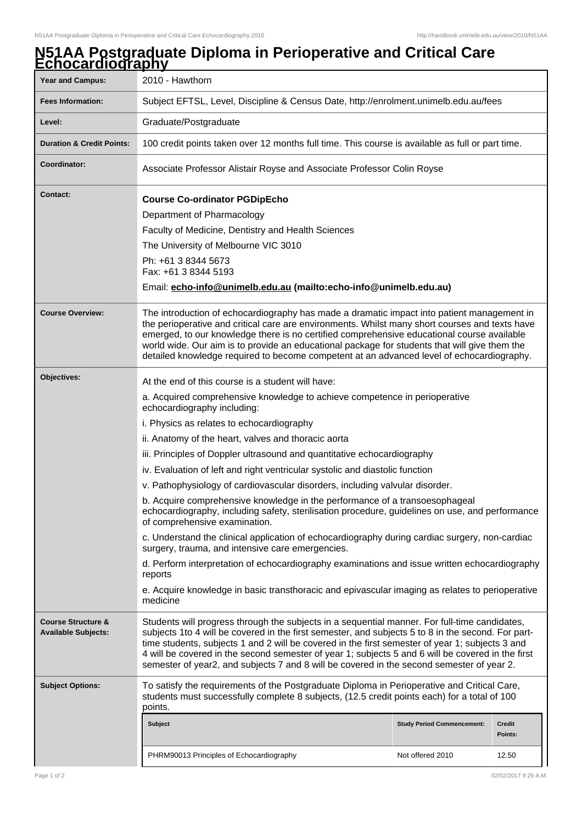## **N51AA Postgraduate Diploma in Perioperative and Critical Care Echocardiography**

| <b>Year and Campus:</b>                                     | 2010 - Hawthorn                                                                                                                                                                                                                                                                                                                                                                                                                                                                                          |                                   |                   |  |
|-------------------------------------------------------------|----------------------------------------------------------------------------------------------------------------------------------------------------------------------------------------------------------------------------------------------------------------------------------------------------------------------------------------------------------------------------------------------------------------------------------------------------------------------------------------------------------|-----------------------------------|-------------------|--|
| <b>Fees Information:</b>                                    | Subject EFTSL, Level, Discipline & Census Date, http://enrolment.unimelb.edu.au/fees                                                                                                                                                                                                                                                                                                                                                                                                                     |                                   |                   |  |
| Level:                                                      | Graduate/Postgraduate                                                                                                                                                                                                                                                                                                                                                                                                                                                                                    |                                   |                   |  |
| <b>Duration &amp; Credit Points:</b>                        | 100 credit points taken over 12 months full time. This course is available as full or part time.                                                                                                                                                                                                                                                                                                                                                                                                         |                                   |                   |  |
| Coordinator:                                                | Associate Professor Alistair Royse and Associate Professor Colin Royse                                                                                                                                                                                                                                                                                                                                                                                                                                   |                                   |                   |  |
| Contact:                                                    | <b>Course Co-ordinator PGDipEcho</b>                                                                                                                                                                                                                                                                                                                                                                                                                                                                     |                                   |                   |  |
|                                                             | Department of Pharmacology                                                                                                                                                                                                                                                                                                                                                                                                                                                                               |                                   |                   |  |
|                                                             | Faculty of Medicine, Dentistry and Health Sciences                                                                                                                                                                                                                                                                                                                                                                                                                                                       |                                   |                   |  |
|                                                             | The University of Melbourne VIC 3010                                                                                                                                                                                                                                                                                                                                                                                                                                                                     |                                   |                   |  |
|                                                             | Ph: +61 3 8344 5673<br>Fax: +61 3 8344 5193<br>Email: echo-info@unimelb.edu.au (mailto:echo-info@unimelb.edu.au)                                                                                                                                                                                                                                                                                                                                                                                         |                                   |                   |  |
|                                                             |                                                                                                                                                                                                                                                                                                                                                                                                                                                                                                          |                                   |                   |  |
| <b>Course Overview:</b>                                     | The introduction of echocardiography has made a dramatic impact into patient management in<br>the perioperative and critical care are environments. Whilst many short courses and texts have<br>emerged, to our knowledge there is no certified comprehensive educational course available<br>world wide. Our aim is to provide an educational package for students that will give them the<br>detailed knowledge required to become competent at an advanced level of echocardiography.                 |                                   |                   |  |
| Objectives:                                                 | At the end of this course is a student will have:                                                                                                                                                                                                                                                                                                                                                                                                                                                        |                                   |                   |  |
|                                                             | a. Acquired comprehensive knowledge to achieve competence in perioperative<br>echocardiography including:                                                                                                                                                                                                                                                                                                                                                                                                |                                   |                   |  |
|                                                             | i. Physics as relates to echocardiography                                                                                                                                                                                                                                                                                                                                                                                                                                                                |                                   |                   |  |
|                                                             | ii. Anatomy of the heart, valves and thoracic aorta                                                                                                                                                                                                                                                                                                                                                                                                                                                      |                                   |                   |  |
|                                                             | iii. Principles of Doppler ultrasound and quantitative echocardiography                                                                                                                                                                                                                                                                                                                                                                                                                                  |                                   |                   |  |
|                                                             | iv. Evaluation of left and right ventricular systolic and diastolic function                                                                                                                                                                                                                                                                                                                                                                                                                             |                                   |                   |  |
|                                                             | v. Pathophysiology of cardiovascular disorders, including valvular disorder.                                                                                                                                                                                                                                                                                                                                                                                                                             |                                   |                   |  |
|                                                             | b. Acquire comprehensive knowledge in the performance of a transoesophageal<br>echocardiography, including safety, sterilisation procedure, guidelines on use, and performance<br>of comprehensive examination.<br>c. Understand the clinical application of echocardiography during cardiac surgery, non-cardiac<br>surgery, trauma, and intensive care emergencies.<br>d. Perform interpretation of echocardiography examinations and issue written echocardiography<br>reports                        |                                   |                   |  |
|                                                             |                                                                                                                                                                                                                                                                                                                                                                                                                                                                                                          |                                   |                   |  |
|                                                             |                                                                                                                                                                                                                                                                                                                                                                                                                                                                                                          |                                   |                   |  |
|                                                             | e. Acquire knowledge in basic transthoracic and epivascular imaging as relates to perioperative<br>medicine                                                                                                                                                                                                                                                                                                                                                                                              |                                   |                   |  |
| <b>Course Structure &amp;</b><br><b>Available Subjects:</b> | Students will progress through the subjects in a sequential manner. For full-time candidates,<br>subjects 1to 4 will be covered in the first semester, and subjects 5 to 8 in the second. For part-<br>time students, subjects 1 and 2 will be covered in the first semester of year 1; subjects 3 and<br>4 will be covered in the second semester of year 1; subjects 5 and 6 will be covered in the first<br>semester of year2, and subjects 7 and 8 will be covered in the second semester of year 2. |                                   |                   |  |
| <b>Subject Options:</b>                                     | To satisfy the requirements of the Postgraduate Diploma in Perioperative and Critical Care,<br>students must successfully complete 8 subjects, (12.5 credit points each) for a total of 100<br>points.                                                                                                                                                                                                                                                                                                   |                                   |                   |  |
|                                                             | <b>Subject</b>                                                                                                                                                                                                                                                                                                                                                                                                                                                                                           | <b>Study Period Commencement:</b> | Credit<br>Points: |  |
|                                                             | PHRM90013 Principles of Echocardiography                                                                                                                                                                                                                                                                                                                                                                                                                                                                 | Not offered 2010                  | 12.50             |  |
|                                                             |                                                                                                                                                                                                                                                                                                                                                                                                                                                                                                          |                                   |                   |  |